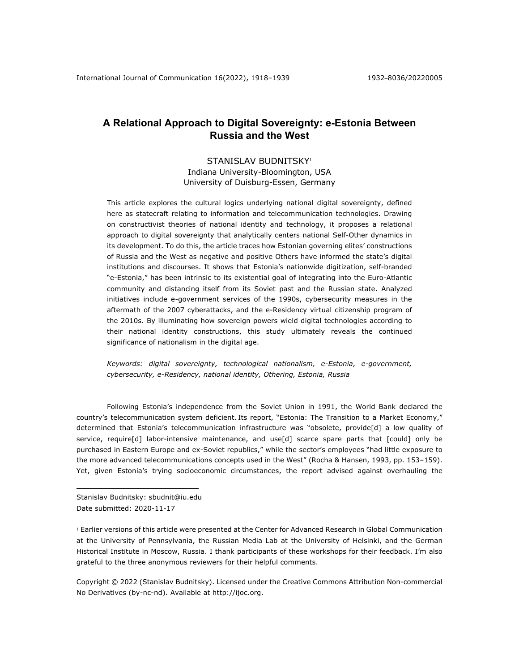# **A Relational Approach to Digital Sovereignty: e-Estonia Between Russia and the West**

# STANISLAV BUDNITSKY<sup>1</sup>

Indiana University-Bloomington, USA University of Duisburg-Essen, Germany

This article explores the cultural logics underlying national digital sovereignty, defined here as statecraft relating to information and telecommunication technologies. Drawing on constructivist theories of national identity and technology, it proposes a relational approach to digital sovereignty that analytically centers national Self-Other dynamics in its development. To do this, the article traces how Estonian governing elites' constructions of Russia and the West as negative and positive Others have informed the state's digital institutions and discourses. It shows that Estonia's nationwide digitization, self-branded "e-Estonia," has been intrinsic to its existential goal of integrating into the Euro-Atlantic community and distancing itself from its Soviet past and the Russian state. Analyzed initiatives include e-government services of the 1990s, cybersecurity measures in the aftermath of the 2007 cyberattacks, and the e-Residency virtual citizenship program of the 2010s. By illuminating how sovereign powers wield digital technologies according to their national identity constructions, this study ultimately reveals the continued significance of nationalism in the digital age.

*Keywords: digital sovereignty, technological nationalism, e-Estonia, e-government, cybersecurity, e-Residency, national identity, Othering, Estonia, Russia*

Following Estonia's independence from the Soviet Union in 1991, the World Bank declared the country's telecommunication system deficient. Its report, "Estonia: The Transition to a Market Economy," determined that Estonia's telecommunication infrastructure was "obsolete, provide[d] a low quality of service, require[d] labor-intensive maintenance, and use[d] scarce spare parts that [could] only be purchased in Eastern Europe and ex-Soviet republics," while the sector's employees "had little exposure to the more advanced telecommunications concepts used in the West" (Rocha & Hansen, 1993, pp. 153–159). Yet, given Estonia's trying socioeconomic circumstances, the report advised against overhauling the

Stanislav Budnitsky: sbudnit@iu.edu Date submitted: 2020-11-17

<sup>1</sup> Earlier versions of this article were presented at the Center for Advanced Research in Global Communication at the University of Pennsylvania, the Russian Media Lab at the University of Helsinki, and the German Historical Institute in Moscow, Russia. I thank participants of these workshops for their feedback. I'm also grateful to the three anonymous reviewers for their helpful comments.

Copyright © 2022 (Stanislav Budnitsky). Licensed under the Creative Commons Attribution Non-commercial No Derivatives (by-nc-nd). Available at http://ijoc.org.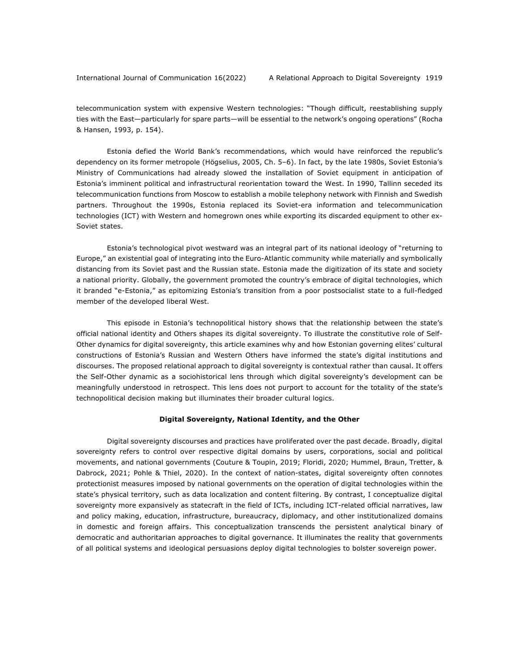telecommunication system with expensive Western technologies: "Though difficult, reestablishing supply ties with the East—particularly for spare parts—will be essential to the network's ongoing operations" (Rocha & Hansen, 1993, p. 154).

Estonia defied the World Bank's recommendations, which would have reinforced the republic's dependency on its former metropole (Högselius, 2005, Ch. 5–6). In fact, by the late 1980s, Soviet Estonia's Ministry of Communications had already slowed the installation of Soviet equipment in anticipation of Estonia's imminent political and infrastructural reorientation toward the West. In 1990, Tallinn seceded its telecommunication functions from Moscow to establish a mobile telephony network with Finnish and Swedish partners. Throughout the 1990s, Estonia replaced its Soviet-era information and telecommunication technologies (ICT) with Western and homegrown ones while exporting its discarded equipment to other ex-Soviet states.

Estonia's technological pivot westward was an integral part of its national ideology of "returning to Europe," an existential goal of integrating into the Euro-Atlantic community while materially and symbolically distancing from its Soviet past and the Russian state. Estonia made the digitization of its state and society a national priority. Globally, the government promoted the country's embrace of digital technologies, which it branded "e-Estonia," as epitomizing Estonia's transition from a poor postsocialist state to a full-fledged member of the developed liberal West.

This episode in Estonia's technopolitical history shows that the relationship between the state's official national identity and Others shapes its digital sovereignty. To illustrate the constitutive role of Self-Other dynamics for digital sovereignty, this article examines why and how Estonian governing elites' cultural constructions of Estonia's Russian and Western Others have informed the state's digital institutions and discourses. The proposed relational approach to digital sovereignty is contextual rather than causal. It offers the Self-Other dynamic as a sociohistorical lens through which digital sovereignty's development can be meaningfully understood in retrospect. This lens does not purport to account for the totality of the state's technopolitical decision making but illuminates their broader cultural logics.

### **Digital Sovereignty, National Identity, and the Other**

Digital sovereignty discourses and practices have proliferated over the past decade. Broadly, digital sovereignty refers to control over respective digital domains by users, corporations, social and political movements, and national governments (Couture & Toupin, 2019; Floridi, 2020; Hummel, Braun, Tretter, & Dabrock, 2021; Pohle & Thiel, 2020). In the context of nation-states, digital sovereignty often connotes protectionist measures imposed by national governments on the operation of digital technologies within the state's physical territory, such as data localization and content filtering. By contrast, I conceptualize digital sovereignty more expansively as statecraft in the field of ICTs, including ICT-related official narratives, law and policy making, education, infrastructure, bureaucracy, diplomacy, and other institutionalized domains in domestic and foreign affairs. This conceptualization transcends the persistent analytical binary of democratic and authoritarian approaches to digital governance. It illuminates the reality that governments of all political systems and ideological persuasions deploy digital technologies to bolster sovereign power.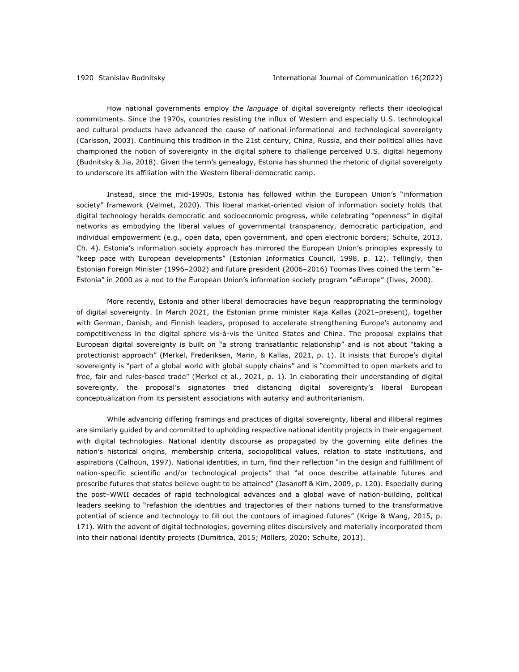How national governments employ *the language* of digital sovereignty reflects their ideological commitments. Since the 1970s, countries resisting the influx of Western and especially U.S. technological and cultural products have advanced the cause of national informational and technological sovereignty (Carlsson, 2003). Continuing this tradition in the 21st century, China, Russia, and their political allies have championed the notion of sovereignty in the digital sphere to challenge perceived U.S. digital hegemony (Budnitsky & Jia, 2018). Given the term's genealogy, Estonia has shunned the rhetoric of digital sovereignty to underscore its affiliation with the Western liberal-democratic camp.

Instead, since the mid-1990s, Estonia has followed within the European Union's "information society" framework (Velmet, 2020). This liberal market-oriented vision of information society holds that digital technology heralds democratic and socioeconomic progress, while celebrating "openness" in digital networks as embodying the liberal values of governmental transparency, democratic participation, and individual empowerment (e.g., open data, open government, and open electronic borders; Schulte, 2013, Ch. 4). Estonia's information society approach has mirrored the European Union's principles expressly to "keep pace with European developments" (Estonian Informatics Council, 1998, p. 12). Tellingly, then Estonian Foreign Minister (1996–2002) and future president (2006–2016) Toomas Ilves coined the term "e-Estonia" in 2000 as a nod to the European Union's information society program "eEurope" (Ilves, 2000).

More recently, Estonia and other liberal democracies have begun reappropriating the terminology of digital sovereignty. In March 2021, the Estonian prime minister Kaja Kallas (2021–present), together with German, Danish, and Finnish leaders, proposed to accelerate strengthening Europe's autonomy and competitiveness in the digital sphere vis-à-vis the United States and China. The proposal explains that European digital sovereignty is built on "a strong transatlantic relationship" and is not about "taking a protectionist approach" (Merkel, Frederiksen, Marin, & Kallas, 2021, p. 1). It insists that Europe's digital sovereignty is "part of a global world with global supply chains" and is "committed to open markets and to free, fair and rules-based trade" (Merkel et al., 2021, p. 1). In elaborating their understanding of digital sovereignty, the proposal's signatories tried distancing digital sovereignty's liberal European conceptualization from its persistent associations with autarky and authoritarianism.

While advancing differing framings and practices of digital sovereignty, liberal and illiberal regimes are similarly guided by and committed to upholding respective national identity projects in their engagement with digital technologies. National identity discourse as propagated by the governing elite defines the nation's historical origins, membership criteria, sociopolitical values, relation to state institutions, and aspirations (Calhoun, 1997). National identities, in turn, find their reflection "in the design and fulfillment of nation-specific scientific and/or technological projects" that "at once describe attainable futures and prescribe futures that states believe ought to be attained" (Jasanoff & Kim, 2009, p. 120). Especially during the post–WWII decades of rapid technological advances and a global wave of nation-building, political leaders seeking to "refashion the identities and trajectories of their nations turned to the transformative potential of science and technology to fill out the contours of imagined futures" (Krige & Wang, 2015, p. 171). With the advent of digital technologies, governing elites discursively and materially incorporated them into their national identity projects (Dumitrica, 2015; Möllers, 2020; Schulte, 2013).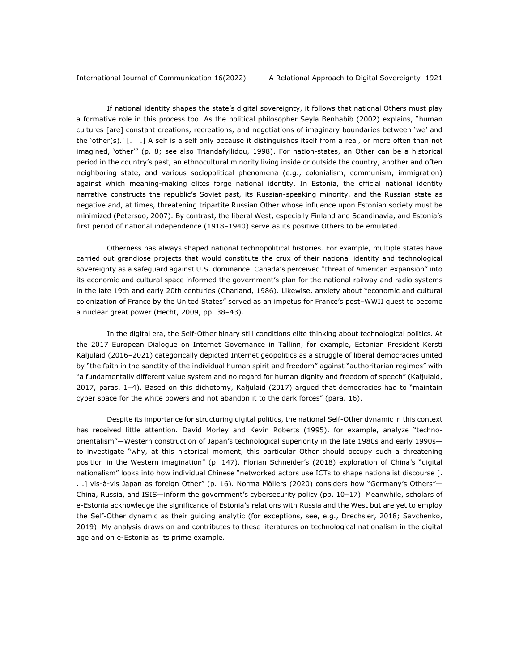If national identity shapes the state's digital sovereignty, it follows that national Others must play a formative role in this process too. As the political philosopher Seyla Benhabib (2002) explains, "human cultures [are] constant creations, recreations, and negotiations of imaginary boundaries between 'we' and the 'other(s).' [. . .] A self is a self only because it distinguishes itself from a real, or more often than not imagined, 'other'" (p. 8; see also Triandafyllidou, 1998). For nation-states, an Other can be a historical period in the country's past, an ethnocultural minority living inside or outside the country, another and often neighboring state, and various sociopolitical phenomena (e.g., colonialism, communism, immigration) against which meaning-making elites forge national identity. In Estonia, the official national identity narrative constructs the republic's Soviet past, its Russian-speaking minority, and the Russian state as negative and, at times, threatening tripartite Russian Other whose influence upon Estonian society must be minimized (Petersoo, 2007). By contrast, the liberal West, especially Finland and Scandinavia, and Estonia's first period of national independence (1918–1940) serve as its positive Others to be emulated.

Otherness has always shaped national technopolitical histories. For example, multiple states have carried out grandiose projects that would constitute the crux of their national identity and technological sovereignty as a safeguard against U.S. dominance. Canada's perceived "threat of American expansion" into its economic and cultural space informed the government's plan for the national railway and radio systems in the late 19th and early 20th centuries (Charland, 1986). Likewise, anxiety about "economic and cultural colonization of France by the United States" served as an impetus for France's post–WWII quest to become a nuclear great power (Hecht, 2009, pp. 38–43).

In the digital era, the Self-Other binary still conditions elite thinking about technological politics. At the 2017 European Dialogue on Internet Governance in Tallinn, for example, Estonian President Kersti Kaljulaid (2016–2021) categorically depicted Internet geopolitics as a struggle of liberal democracies united by "the faith in the sanctity of the individual human spirit and freedom" against "authoritarian regimes" with "a fundamentally different value system and no regard for human dignity and freedom of speech" (Kaljulaid, 2017, paras. 1–4). Based on this dichotomy, Kaljulaid (2017) argued that democracies had to "maintain cyber space for the white powers and not abandon it to the dark forces" (para. 16).

Despite its importance for structuring digital politics, the national Self-Other dynamic in this context has received little attention. David Morley and Kevin Roberts (1995), for example, analyze "technoorientalism"—Western construction of Japan's technological superiority in the late 1980s and early 1990s to investigate "why, at this historical moment, this particular Other should occupy such a threatening position in the Western imagination" (p. 147). Florian Schneider's (2018) exploration of China's "digital nationalism" looks into how individual Chinese "networked actors use ICTs to shape nationalist discourse [. . .] vis-à-vis Japan as foreign Other" (p. 16). Norma Möllers (2020) considers how "Germany's Others"— China, Russia, and ISIS—inform the government's cybersecurity policy (pp. 10–17). Meanwhile, scholars of e-Estonia acknowledge the significance of Estonia's relations with Russia and the West but are yet to employ the Self-Other dynamic as their guiding analytic (for exceptions, see, e.g., Drechsler, 2018; Savchenko, 2019). My analysis draws on and contributes to these literatures on technological nationalism in the digital age and on e-Estonia as its prime example.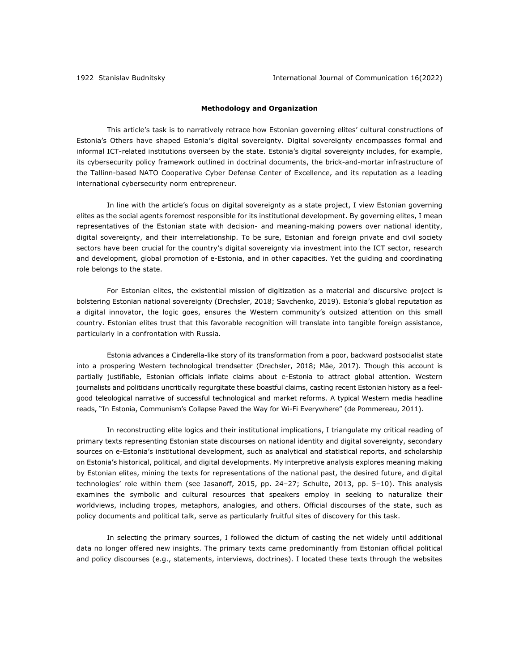# **Methodology and Organization**

This article's task is to narratively retrace how Estonian governing elites' cultural constructions of Estonia's Others have shaped Estonia's digital sovereignty. Digital sovereignty encompasses formal and informal ICT-related institutions overseen by the state. Estonia's digital sovereignty includes, for example, its cybersecurity policy framework outlined in doctrinal documents, the brick-and-mortar infrastructure of the Tallinn-based NATO Cooperative Cyber Defense Center of Excellence, and its reputation as a leading international cybersecurity norm entrepreneur.

In line with the article's focus on digital sovereignty as a state project, I view Estonian governing elites as the social agents foremost responsible for its institutional development. By governing elites, I mean representatives of the Estonian state with decision- and meaning-making powers over national identity, digital sovereignty, and their interrelationship. To be sure, Estonian and foreign private and civil society sectors have been crucial for the country's digital sovereignty via investment into the ICT sector, research and development, global promotion of e-Estonia, and in other capacities. Yet the guiding and coordinating role belongs to the state.

For Estonian elites, the existential mission of digitization as a material and discursive project is bolstering Estonian national sovereignty (Drechsler, 2018; Savchenko, 2019). Estonia's global reputation as a digital innovator, the logic goes, ensures the Western community's outsized attention on this small country. Estonian elites trust that this favorable recognition will translate into tangible foreign assistance, particularly in a confrontation with Russia.

Estonia advances a Cinderella-like story of its transformation from a poor, backward postsocialist state into a prospering Western technological trendsetter (Drechsler, 2018; Mäe, 2017). Though this account is partially justifiable, Estonian officials inflate claims about e-Estonia to attract global attention. Western journalists and politicians uncritically regurgitate these boastful claims, casting recent Estonian history as a feelgood teleological narrative of successful technological and market reforms. A typical Western media headline reads, "In Estonia, Communism's Collapse Paved the Way for Wi-Fi Everywhere" (de Pommereau, 2011).

In reconstructing elite logics and their institutional implications, I triangulate my critical reading of primary texts representing Estonian state discourses on national identity and digital sovereignty, secondary sources on e-Estonia's institutional development, such as analytical and statistical reports, and scholarship on Estonia's historical, political, and digital developments. My interpretive analysis explores meaning making by Estonian elites, mining the texts for representations of the national past, the desired future, and digital technologies' role within them (see Jasanoff, 2015, pp. 24–27; Schulte, 2013, pp. 5–10). This analysis examines the symbolic and cultural resources that speakers employ in seeking to naturalize their worldviews, including tropes, metaphors, analogies, and others. Official discourses of the state, such as policy documents and political talk, serve as particularly fruitful sites of discovery for this task.

In selecting the primary sources, I followed the dictum of casting the net widely until additional data no longer offered new insights. The primary texts came predominantly from Estonian official political and policy discourses (e.g., statements, interviews, doctrines). I located these texts through the websites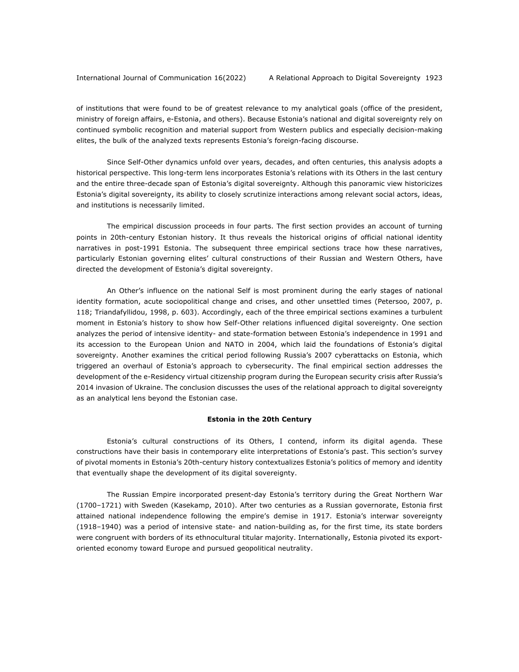of institutions that were found to be of greatest relevance to my analytical goals (office of the president, ministry of foreign affairs, e-Estonia, and others). Because Estonia's national and digital sovereignty rely on continued symbolic recognition and material support from Western publics and especially decision-making elites, the bulk of the analyzed texts represents Estonia's foreign-facing discourse.

Since Self-Other dynamics unfold over years, decades, and often centuries, this analysis adopts a historical perspective. This long-term lens incorporates Estonia's relations with its Others in the last century and the entire three-decade span of Estonia's digital sovereignty. Although this panoramic view historicizes Estonia's digital sovereignty, its ability to closely scrutinize interactions among relevant social actors, ideas, and institutions is necessarily limited.

The empirical discussion proceeds in four parts. The first section provides an account of turning points in 20th-century Estonian history. It thus reveals the historical origins of official national identity narratives in post-1991 Estonia. The subsequent three empirical sections trace how these narratives, particularly Estonian governing elites' cultural constructions of their Russian and Western Others, have directed the development of Estonia's digital sovereignty.

An Other's influence on the national Self is most prominent during the early stages of national identity formation, acute sociopolitical change and crises, and other unsettled times (Petersoo, 2007, p. 118; Triandafyllidou, 1998, p. 603). Accordingly, each of the three empirical sections examines a turbulent moment in Estonia's history to show how Self-Other relations influenced digital sovereignty. One section analyzes the period of intensive identity- and state-formation between Estonia's independence in 1991 and its accession to the European Union and NATO in 2004, which laid the foundations of Estonia's digital sovereignty. Another examines the critical period following Russia's 2007 cyberattacks on Estonia, which triggered an overhaul of Estonia's approach to cybersecurity. The final empirical section addresses the development of the e-Residency virtual citizenship program during the European security crisis after Russia's 2014 invasion of Ukraine. The conclusion discusses the uses of the relational approach to digital sovereignty as an analytical lens beyond the Estonian case.

# **Estonia in the 20th Century**

Estonia's cultural constructions of its Others, I contend, inform its digital agenda. These constructions have their basis in contemporary elite interpretations of Estonia's past. This section's survey of pivotal moments in Estonia's 20th-century history contextualizes Estonia's politics of memory and identity that eventually shape the development of its digital sovereignty.

The Russian Empire incorporated present-day Estonia's territory during the Great Northern War (1700–1721) with Sweden (Kasekamp, 2010). After two centuries as a Russian governorate, Estonia first attained national independence following the empire's demise in 1917. Estonia's interwar sovereignty (1918–1940) was a period of intensive state- and nation-building as, for the first time, its state borders were congruent with borders of its ethnocultural titular majority. Internationally, Estonia pivoted its exportoriented economy toward Europe and pursued geopolitical neutrality.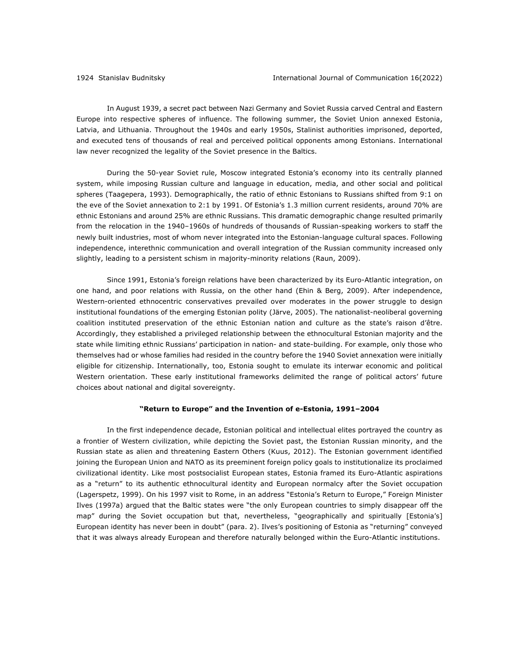In August 1939, a secret pact between Nazi Germany and Soviet Russia carved Central and Eastern Europe into respective spheres of influence. The following summer, the Soviet Union annexed Estonia, Latvia, and Lithuania. Throughout the 1940s and early 1950s, Stalinist authorities imprisoned, deported, and executed tens of thousands of real and perceived political opponents among Estonians. International law never recognized the legality of the Soviet presence in the Baltics.

During the 50-year Soviet rule, Moscow integrated Estonia's economy into its centrally planned system, while imposing Russian culture and language in education, media, and other social and political spheres (Taagepera, 1993). Demographically, the ratio of ethnic Estonians to Russians shifted from 9:1 on the eve of the Soviet annexation to 2:1 by 1991. Of Estonia's 1.3 million current residents, around 70% are ethnic Estonians and around 25% are ethnic Russians. This dramatic demographic change resulted primarily from the relocation in the 1940–1960s of hundreds of thousands of Russian-speaking workers to staff the newly built industries, most of whom never integrated into the Estonian-language cultural spaces. Following independence, interethnic communication and overall integration of the Russian community increased only slightly, leading to a persistent schism in majority-minority relations (Raun, 2009).

Since 1991, Estonia's foreign relations have been characterized by its Euro-Atlantic integration, on one hand, and poor relations with Russia, on the other hand (Ehin & Berg, 2009). After independence, Western-oriented ethnocentric conservatives prevailed over moderates in the power struggle to design institutional foundations of the emerging Estonian polity (Järve, 2005). The nationalist-neoliberal governing coalition instituted preservation of the ethnic Estonian nation and culture as the state's raison d'être. Accordingly, they established a privileged relationship between the ethnocultural Estonian majority and the state while limiting ethnic Russians' participation in nation- and state-building. For example, only those who themselves had or whose families had resided in the country before the 1940 Soviet annexation were initially eligible for citizenship. Internationally, too, Estonia sought to emulate its interwar economic and political Western orientation. These early institutional frameworks delimited the range of political actors' future choices about national and digital sovereignty.

#### **"Return to Europe" and the Invention of e-Estonia, 1991–2004**

In the first independence decade, Estonian political and intellectual elites portrayed the country as a frontier of Western civilization, while depicting the Soviet past, the Estonian Russian minority, and the Russian state as alien and threatening Eastern Others (Kuus, 2012). The Estonian government identified joining the European Union and NATO as its preeminent foreign policy goals to institutionalize its proclaimed civilizational identity. Like most postsocialist European states, Estonia framed its Euro-Atlantic aspirations as a "return" to its authentic ethnocultural identity and European normalcy after the Soviet occupation (Lagerspetz, 1999). On his 1997 visit to Rome, in an address "Estonia's Return to Europe," Foreign Minister Ilves (1997a) argued that the Baltic states were "the only European countries to simply disappear off the map" during the Soviet occupation but that, nevertheless, "geographically and spiritually [Estonia's] European identity has never been in doubt" (para. 2). Ilves's positioning of Estonia as "returning" conveyed that it was always already European and therefore naturally belonged within the Euro-Atlantic institutions.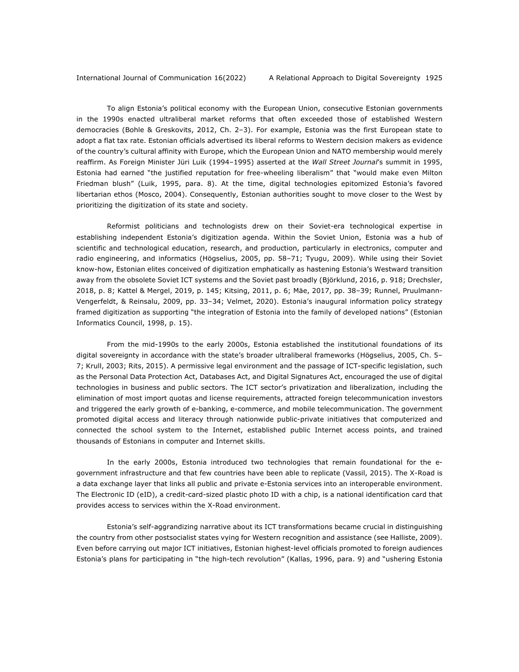To align Estonia's political economy with the European Union, consecutive Estonian governments in the 1990s enacted ultraliberal market reforms that often exceeded those of established Western democracies (Bohle & Greskovits, 2012, Ch. 2–3). For example, Estonia was the first European state to adopt a flat tax rate. Estonian officials advertised its liberal reforms to Western decision makers as evidence of the country's cultural affinity with Europe, which the European Union and NATO membership would merely reaffirm. As Foreign Minister Jüri Luik (1994–1995) asserted at the *Wall Street Journal*'s summit in 1995, Estonia had earned "the justified reputation for free-wheeling liberalism" that "would make even Milton Friedman blush" (Luik, 1995, para. 8). At the time, digital technologies epitomized Estonia's favored libertarian ethos (Mosco, 2004). Consequently, Estonian authorities sought to move closer to the West by prioritizing the digitization of its state and society.

Reformist politicians and technologists drew on their Soviet-era technological expertise in establishing independent Estonia's digitization agenda. Within the Soviet Union, Estonia was a hub of scientific and technological education, research, and production, particularly in electronics, computer and radio engineering, and informatics (Högselius, 2005, pp. 58–71; Tyugu, 2009). While using their Soviet know-how, Estonian elites conceived of digitization emphatically as hastening Estonia's Westward transition away from the obsolete Soviet ICT systems and the Soviet past broadly (Björklund, 2016, p. 918; Drechsler, 2018, p. 8; Kattel & Mergel, 2019, p. 145; Kitsing, 2011, p. 6; Mäe, 2017, pp. 38–39; Runnel, Pruulmann-Vengerfeldt, & Reinsalu, 2009, pp. 33–34; Velmet, 2020). Estonia's inaugural information policy strategy framed digitization as supporting "the integration of Estonia into the family of developed nations" (Estonian Informatics Council, 1998, p. 15).

From the mid-1990s to the early 2000s, Estonia established the institutional foundations of its digital sovereignty in accordance with the state's broader ultraliberal frameworks (Högselius, 2005, Ch. 5– 7; Krull, 2003; Rits, 2015). A permissive legal environment and the passage of ICT-specific legislation, such as the Personal Data Protection Act, Databases Act, and Digital Signatures Act, encouraged the use of digital technologies in business and public sectors. The ICT sector's privatization and liberalization, including the elimination of most import quotas and license requirements, attracted foreign telecommunication investors and triggered the early growth of e-banking, e-commerce, and mobile telecommunication. The government promoted digital access and literacy through nationwide public-private initiatives that computerized and connected the school system to the Internet, established public Internet access points, and trained thousands of Estonians in computer and Internet skills.

In the early 2000s, Estonia introduced two technologies that remain foundational for the egovernment infrastructure and that few countries have been able to replicate (Vassil, 2015). The X-Road is a data exchange layer that links all public and private e-Estonia services into an interoperable environment. The Electronic ID (eID), a credit-card-sized plastic photo ID with a chip, is a national identification card that provides access to services within the X-Road environment.

Estonia's self-aggrandizing narrative about its ICT transformations became crucial in distinguishing the country from other postsocialist states vying for Western recognition and assistance (see Halliste, 2009). Even before carrying out major ICT initiatives, Estonian highest-level officials promoted to foreign audiences Estonia's plans for participating in "the high-tech revolution" (Kallas, 1996, para. 9) and "ushering Estonia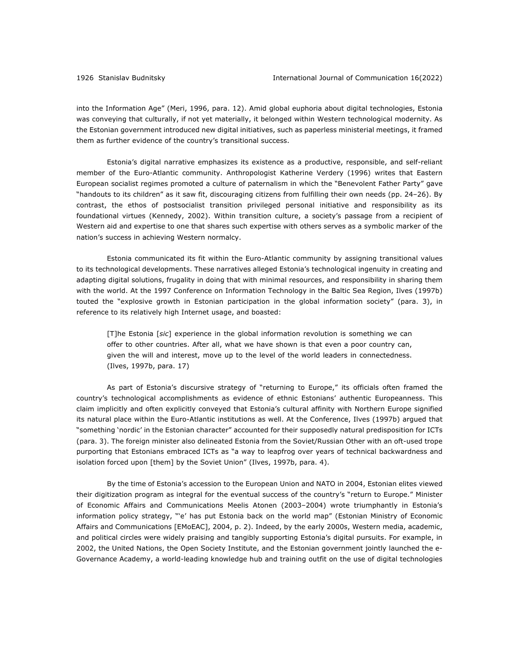into the Information Age" (Meri, 1996, para. 12). Amid global euphoria about digital technologies, Estonia was conveying that culturally, if not yet materially, it belonged within Western technological modernity. As the Estonian government introduced new digital initiatives, such as paperless ministerial meetings, it framed them as further evidence of the country's transitional success.

Estonia's digital narrative emphasizes its existence as a productive, responsible, and self-reliant member of the Euro-Atlantic community. Anthropologist Katherine Verdery (1996) writes that Eastern European socialist regimes promoted a culture of paternalism in which the "Benevolent Father Party" gave "handouts to its children" as it saw fit, discouraging citizens from fulfilling their own needs (pp. 24–26). By contrast, the ethos of postsocialist transition privileged personal initiative and responsibility as its foundational virtues (Kennedy, 2002). Within transition culture, a society's passage from a recipient of Western aid and expertise to one that shares such expertise with others serves as a symbolic marker of the nation's success in achieving Western normalcy.

Estonia communicated its fit within the Euro-Atlantic community by assigning transitional values to its technological developments. These narratives alleged Estonia's technological ingenuity in creating and adapting digital solutions, frugality in doing that with minimal resources, and responsibility in sharing them with the world. At the 1997 Conference on Information Technology in the Baltic Sea Region, Ilves (1997b) touted the "explosive growth in Estonian participation in the global information society" (para. 3), in reference to its relatively high Internet usage, and boasted:

[T]he Estonia [*sic*] experience in the global information revolution is something we can offer to other countries. After all, what we have shown is that even a poor country can, given the will and interest, move up to the level of the world leaders in connectedness. (Ilves, 1997b, para. 17)

As part of Estonia's discursive strategy of "returning to Europe," its officials often framed the country's technological accomplishments as evidence of ethnic Estonians' authentic Europeanness. This claim implicitly and often explicitly conveyed that Estonia's cultural affinity with Northern Europe signified its natural place within the Euro-Atlantic institutions as well. At the Conference, Ilves (1997b) argued that "something 'nordic' in the Estonian character" accounted for their supposedly natural predisposition for ICTs (para. 3). The foreign minister also delineated Estonia from the Soviet/Russian Other with an oft-used trope purporting that Estonians embraced ICTs as "a way to leapfrog over years of technical backwardness and isolation forced upon [them] by the Soviet Union" (Ilves, 1997b, para. 4).

By the time of Estonia's accession to the European Union and NATO in 2004, Estonian elites viewed their digitization program as integral for the eventual success of the country's "return to Europe." Minister of Economic Affairs and Communications Meelis Atonen (2003–2004) wrote triumphantly in Estonia's information policy strategy, "'e' has put Estonia back on the world map" (Estonian Ministry of Economic Affairs and Communications [EMoEAC], 2004, p. 2). Indeed, by the early 2000s, Western media, academic, and political circles were widely praising and tangibly supporting Estonia's digital pursuits. For example, in 2002, the United Nations, the Open Society Institute, and the Estonian government jointly launched the e-Governance Academy, a world-leading knowledge hub and training outfit on the use of digital technologies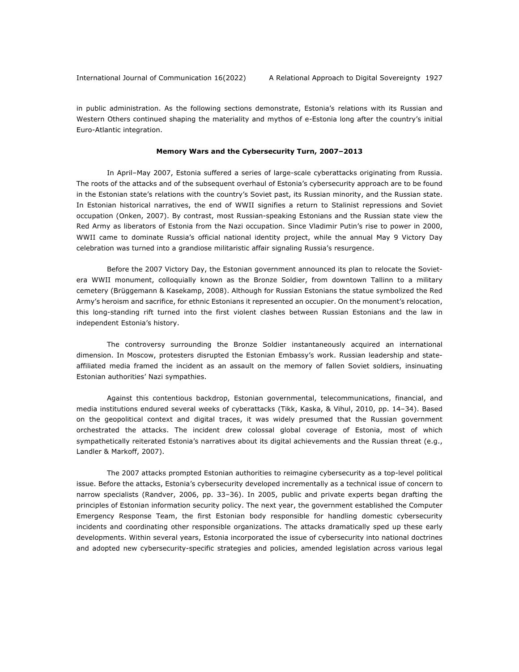in public administration. As the following sections demonstrate, Estonia's relations with its Russian and Western Others continued shaping the materiality and mythos of e-Estonia long after the country's initial Euro-Atlantic integration.

#### **Memory Wars and the Cybersecurity Turn, 2007–2013**

In April–May 2007, Estonia suffered a series of large-scale cyberattacks originating from Russia. The roots of the attacks and of the subsequent overhaul of Estonia's cybersecurity approach are to be found in the Estonian state's relations with the country's Soviet past, its Russian minority, and the Russian state. In Estonian historical narratives, the end of WWII signifies a return to Stalinist repressions and Soviet occupation (Onken, 2007). By contrast, most Russian-speaking Estonians and the Russian state view the Red Army as liberators of Estonia from the Nazi occupation. Since Vladimir Putin's rise to power in 2000, WWII came to dominate Russia's official national identity project, while the annual May 9 Victory Day celebration was turned into a grandiose militaristic affair signaling Russia's resurgence.

Before the 2007 Victory Day, the Estonian government announced its plan to relocate the Sovietera WWII monument, colloquially known as the Bronze Soldier, from downtown Tallinn to a military cemetery (Brüggemann & Kasekamp, 2008). Although for Russian Estonians the statue symbolized the Red Army's heroism and sacrifice, for ethnic Estonians it represented an occupier. On the monument's relocation, this long-standing rift turned into the first violent clashes between Russian Estonians and the law in independent Estonia's history.

The controversy surrounding the Bronze Soldier instantaneously acquired an international dimension. In Moscow, protesters disrupted the Estonian Embassy's work. Russian leadership and stateaffiliated media framed the incident as an assault on the memory of fallen Soviet soldiers, insinuating Estonian authorities' Nazi sympathies.

Against this contentious backdrop, Estonian governmental, telecommunications, financial, and media institutions endured several weeks of cyberattacks (Tikk, Kaska, & Vihul, 2010, pp. 14–34). Based on the geopolitical context and digital traces, it was widely presumed that the Russian government orchestrated the attacks. The incident drew colossal global coverage of Estonia, most of which sympathetically reiterated Estonia's narratives about its digital achievements and the Russian threat (e.g., Landler & Markoff, 2007).

The 2007 attacks prompted Estonian authorities to reimagine cybersecurity as a top-level political issue. Before the attacks, Estonia's cybersecurity developed incrementally as a technical issue of concern to narrow specialists (Randver, 2006, pp. 33–36). In 2005, public and private experts began drafting the principles of Estonian information security policy. The next year, the government established the Computer Emergency Response Team, the first Estonian body responsible for handling domestic cybersecurity incidents and coordinating other responsible organizations. The attacks dramatically sped up these early developments. Within several years, Estonia incorporated the issue of cybersecurity into national doctrines and adopted new cybersecurity-specific strategies and policies, amended legislation across various legal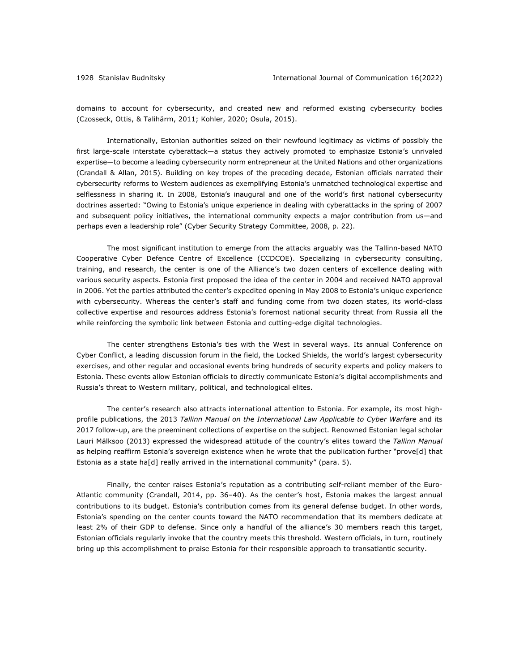domains to account for cybersecurity, and created new and reformed existing cybersecurity bodies (Czosseck, Ottis, & Talihärm, 2011; Kohler, 2020; Osula, 2015).

Internationally, Estonian authorities seized on their newfound legitimacy as victims of possibly the first large-scale interstate cyberattack—a status they actively promoted to emphasize Estonia's unrivaled expertise—to become a leading cybersecurity norm entrepreneur at the United Nations and other organizations (Crandall & Allan, 2015). Building on key tropes of the preceding decade, Estonian officials narrated their cybersecurity reforms to Western audiences as exemplifying Estonia's unmatched technological expertise and selflessness in sharing it. In 2008, Estonia's inaugural and one of the world's first national cybersecurity doctrines asserted: "Owing to Estonia's unique experience in dealing with cyberattacks in the spring of 2007 and subsequent policy initiatives, the international community expects a major contribution from us—and perhaps even a leadership role" (Cyber Security Strategy Committee, 2008, p. 22).

The most significant institution to emerge from the attacks arguably was the Tallinn-based NATO Cooperative Cyber Defence Centre of Excellence (CCDCOE). Specializing in cybersecurity consulting, training, and research, the center is one of the Alliance's two dozen centers of excellence dealing with various security aspects. Estonia first proposed the idea of the center in 2004 and received NATO approval in 2006. Yet the parties attributed the center's expedited opening in May 2008 to Estonia's unique experience with cybersecurity. Whereas the center's staff and funding come from two dozen states, its world-class collective expertise and resources address Estonia's foremost national security threat from Russia all the while reinforcing the symbolic link between Estonia and cutting-edge digital technologies.

The center strengthens Estonia's ties with the West in several ways. Its annual Conference on Cyber Conflict, a leading discussion forum in the field, the Locked Shields, the world's largest cybersecurity exercises, and other regular and occasional events bring hundreds of security experts and policy makers to Estonia. These events allow Estonian officials to directly communicate Estonia's digital accomplishments and Russia's threat to Western military, political, and technological elites.

The center's research also attracts international attention to Estonia. For example, its most highprofile publications, the 2013 *Tallinn Manual on the International Law Applicable to Cyber Warfare* and its 2017 follow-up, are the preeminent collections of expertise on the subject. Renowned Estonian legal scholar Lauri Mälksoo (2013) expressed the widespread attitude of the country's elites toward the *Tallinn Manual*  as helping reaffirm Estonia's sovereign existence when he wrote that the publication further "prove[d] that Estonia as a state ha[d] really arrived in the international community" (para. 5).

Finally, the center raises Estonia's reputation as a contributing self-reliant member of the Euro-Atlantic community (Crandall, 2014, pp. 36–40). As the center's host, Estonia makes the largest annual contributions to its budget. Estonia's contribution comes from its general defense budget. In other words, Estonia's spending on the center counts toward the NATO recommendation that its members dedicate at least 2% of their GDP to defense. Since only a handful of the alliance's 30 members reach this target, Estonian officials regularly invoke that the country meets this threshold. Western officials, in turn, routinely bring up this accomplishment to praise Estonia for their responsible approach to transatlantic security.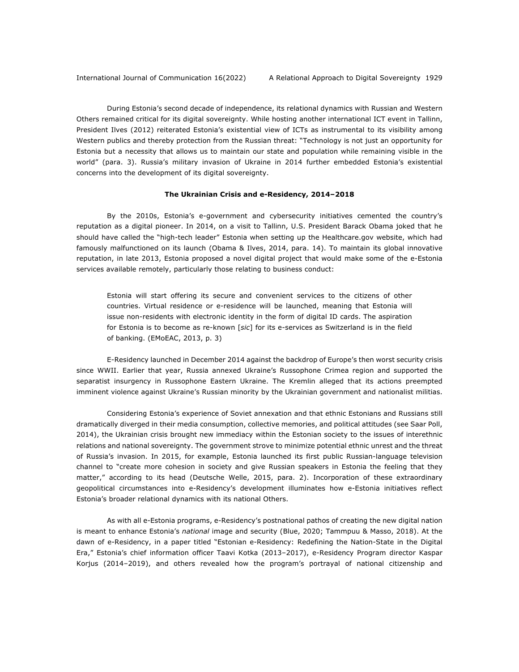During Estonia's second decade of independence, its relational dynamics with Russian and Western Others remained critical for its digital sovereignty. While hosting another international ICT event in Tallinn, President Ilves (2012) reiterated Estonia's existential view of ICTs as instrumental to its visibility among Western publics and thereby protection from the Russian threat: "Technology is not just an opportunity for Estonia but a necessity that allows us to maintain our state and population while remaining visible in the world" (para. 3). Russia's military invasion of Ukraine in 2014 further embedded Estonia's existential concerns into the development of its digital sovereignty.

#### **The Ukrainian Crisis and e-Residency, 2014–2018**

By the 2010s, Estonia's e-government and cybersecurity initiatives cemented the country's reputation as a digital pioneer. In 2014, on a visit to Tallinn, U.S. President Barack Obama joked that he should have called the "high-tech leader" Estonia when setting up the Healthcare.gov website, which had famously malfunctioned on its launch (Obama & Ilves, 2014, para. 14). To maintain its global innovative reputation, in late 2013, Estonia proposed a novel digital project that would make some of the e-Estonia services available remotely, particularly those relating to business conduct:

Estonia will start offering its secure and convenient services to the citizens of other countries. Virtual residence or e-residence will be launched, meaning that Estonia will issue non-residents with electronic identity in the form of digital ID cards. The aspiration for Estonia is to become as re-known [*sic*] for its e-services as Switzerland is in the field of banking. (EMoEAC, 2013, p. 3)

E-Residency launched in December 2014 against the backdrop of Europe's then worst security crisis since WWII. Earlier that year, Russia annexed Ukraine's Russophone Crimea region and supported the separatist insurgency in Russophone Eastern Ukraine. The Kremlin alleged that its actions preempted imminent violence against Ukraine's Russian minority by the Ukrainian government and nationalist militias.

Considering Estonia's experience of Soviet annexation and that ethnic Estonians and Russians still dramatically diverged in their media consumption, collective memories, and political attitudes (see Saar Poll, 2014), the Ukrainian crisis brought new immediacy within the Estonian society to the issues of interethnic relations and national sovereignty. The government strove to minimize potential ethnic unrest and the threat of Russia's invasion. In 2015, for example, Estonia launched its first public Russian-language television channel to "create more cohesion in society and give Russian speakers in Estonia the feeling that they matter," according to its head (Deutsche Welle, 2015, para. 2). Incorporation of these extraordinary geopolitical circumstances into e-Residency's development illuminates how e-Estonia initiatives reflect Estonia's broader relational dynamics with its national Others.

As with all e-Estonia programs, e-Residency's postnational pathos of creating the new digital nation is meant to enhance Estonia's *national* image and security (Blue, 2020; Tammpuu & Masso, 2018). At the dawn of e-Residency, in a paper titled "Estonian e-Residency: Redefining the Nation-State in the Digital Era," Estonia's chief information officer Taavi Kotka (2013–2017), e-Residency Program director Kaspar Korjus (2014–2019), and others revealed how the program's portrayal of national citizenship and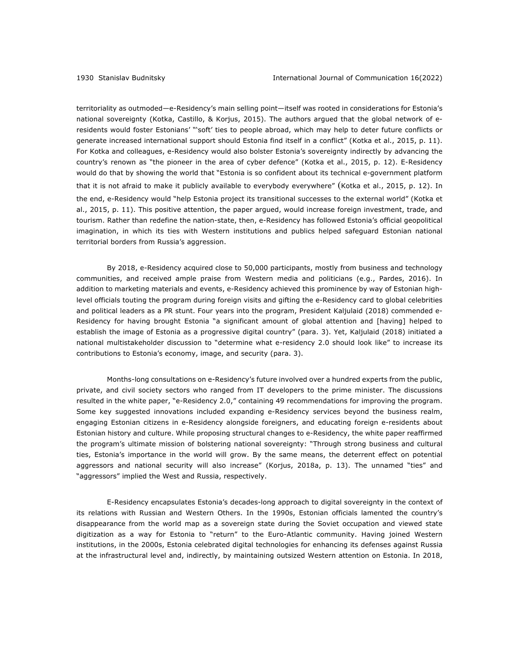territoriality as outmoded—e-Residency's main selling point—itself was rooted in considerations for Estonia's national sovereignty (Kotka, Castillo, & Korjus, 2015). The authors argued that the global network of eresidents would foster Estonians' "'soft' ties to people abroad, which may help to deter future conflicts or generate increased international support should Estonia find itself in a conflict" (Kotka et al., 2015, p. 11). For Kotka and colleagues, e-Residency would also bolster Estonia's sovereignty indirectly by advancing the country's renown as "the pioneer in the area of cyber defence" (Kotka et al., 2015, p. 12). E-Residency would do that by showing the world that "Estonia is so confident about its technical e-government platform that it is not afraid to make it publicly available to everybody everywhere" (Kotka et al., 2015, p. 12). In the end, e-Residency would "help Estonia project its transitional successes to the external world" (Kotka et al., 2015, p. 11). This positive attention, the paper argued, would increase foreign investment, trade, and tourism. Rather than redefine the nation-state, then, e-Residency has followed Estonia's official geopolitical imagination, in which its ties with Western institutions and publics helped safeguard Estonian national territorial borders from Russia's aggression.

By 2018, e-Residency acquired close to 50,000 participants, mostly from business and technology communities, and received ample praise from Western media and politicians (e.g., Pardes, 2016). In addition to marketing materials and events, e-Residency achieved this prominence by way of Estonian highlevel officials touting the program during foreign visits and gifting the e-Residency card to global celebrities and political leaders as a PR stunt. Four years into the program, President Kaljulaid (2018) commended e-Residency for having brought Estonia "a significant amount of global attention and [having] helped to establish the image of Estonia as a progressive digital country" (para. 3). Yet, Kaljulaid (2018) initiated a national multistakeholder discussion to "determine what e-residency 2.0 should look like" to increase its contributions to Estonia's economy, image, and security (para. 3).

Months-long consultations on e-Residency's future involved over a hundred experts from the public, private, and civil society sectors who ranged from IT developers to the prime minister. The discussions resulted in the white paper, "e-Residency 2.0," containing 49 recommendations for improving the program. Some key suggested innovations included expanding e-Residency services beyond the business realm, engaging Estonian citizens in e-Residency alongside foreigners, and educating foreign e-residents about Estonian history and culture. While proposing structural changes to e-Residency, the white paper reaffirmed the program's ultimate mission of bolstering national sovereignty: "Through strong business and cultural ties, Estonia's importance in the world will grow. By the same means, the deterrent effect on potential aggressors and national security will also increase" (Korjus, 2018a, p. 13). The unnamed "ties" and "aggressors" implied the West and Russia, respectively.

E-Residency encapsulates Estonia's decades-long approach to digital sovereignty in the context of its relations with Russian and Western Others. In the 1990s, Estonian officials lamented the country's disappearance from the world map as a sovereign state during the Soviet occupation and viewed state digitization as a way for Estonia to "return" to the Euro-Atlantic community. Having joined Western institutions, in the 2000s, Estonia celebrated digital technologies for enhancing its defenses against Russia at the infrastructural level and, indirectly, by maintaining outsized Western attention on Estonia. In 2018,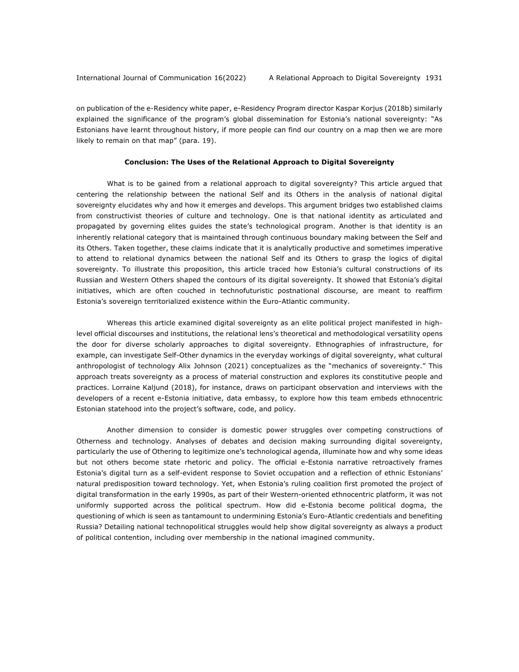on publication of the e-Residency white paper, e-Residency Program director Kaspar Korjus (2018b) similarly explained the significance of the program's global dissemination for Estonia's national sovereignty: "As Estonians have learnt throughout history, if more people can find our country on a map then we are more likely to remain on that map" (para. 19).

# **Conclusion: The Uses of the Relational Approach to Digital Sovereignty**

What is to be gained from a relational approach to digital sovereignty? This article argued that centering the relationship between the national Self and its Others in the analysis of national digital sovereignty elucidates why and how it emerges and develops. This argument bridges two established claims from constructivist theories of culture and technology. One is that national identity as articulated and propagated by governing elites guides the state's technological program. Another is that identity is an inherently relational category that is maintained through continuous boundary making between the Self and its Others. Taken together, these claims indicate that it is analytically productive and sometimes imperative to attend to relational dynamics between the national Self and its Others to grasp the logics of digital sovereignty. To illustrate this proposition, this article traced how Estonia's cultural constructions of its Russian and Western Others shaped the contours of its digital sovereignty. It showed that Estonia's digital initiatives, which are often couched in technofuturistic postnational discourse, are meant to reaffirm Estonia's sovereign territorialized existence within the Euro-Atlantic community.

Whereas this article examined digital sovereignty as an elite political project manifested in highlevel official discourses and institutions, the relational lens's theoretical and methodological versatility opens the door for diverse scholarly approaches to digital sovereignty. Ethnographies of infrastructure, for example, can investigate Self-Other dynamics in the everyday workings of digital sovereignty, what cultural anthropologist of technology Alix Johnson (2021) conceptualizes as the "mechanics of sovereignty." This approach treats sovereignty as a process of material construction and explores its constitutive people and practices. Lorraine Kaljund (2018), for instance, draws on participant observation and interviews with the developers of a recent e-Estonia initiative, data embassy, to explore how this team embeds ethnocentric Estonian statehood into the project's software, code, and policy.

Another dimension to consider is domestic power struggles over competing constructions of Otherness and technology. Analyses of debates and decision making surrounding digital sovereignty, particularly the use of Othering to legitimize one's technological agenda, illuminate how and why some ideas but not others become state rhetoric and policy. The official e-Estonia narrative retroactively frames Estonia's digital turn as a self-evident response to Soviet occupation and a reflection of ethnic Estonians' natural predisposition toward technology. Yet, when Estonia's ruling coalition first promoted the project of digital transformation in the early 1990s, as part of their Western-oriented ethnocentric platform, it was not uniformly supported across the political spectrum. How did e-Estonia become political dogma, the questioning of which is seen as tantamount to undermining Estonia's Euro-Atlantic credentials and benefiting Russia? Detailing national technopolitical struggles would help show digital sovereignty as always a product of political contention, including over membership in the national imagined community.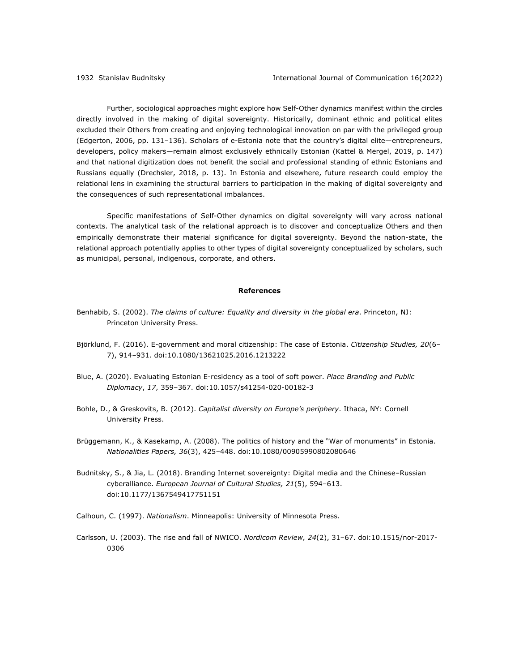Further, sociological approaches might explore how Self-Other dynamics manifest within the circles directly involved in the making of digital sovereignty. Historically, dominant ethnic and political elites excluded their Others from creating and enjoying technological innovation on par with the privileged group (Edgerton, 2006, pp. 131–136). Scholars of e-Estonia note that the country's digital elite—entrepreneurs, developers, policy makers—remain almost exclusively ethnically Estonian (Kattel & Mergel, 2019, p. 147) and that national digitization does not benefit the social and professional standing of ethnic Estonians and Russians equally (Drechsler, 2018, p. 13). In Estonia and elsewhere, future research could employ the relational lens in examining the structural barriers to participation in the making of digital sovereignty and the consequences of such representational imbalances.

Specific manifestations of Self-Other dynamics on digital sovereignty will vary across national contexts. The analytical task of the relational approach is to discover and conceptualize Others and then empirically demonstrate their material significance for digital sovereignty. Beyond the nation-state, the relational approach potentially applies to other types of digital sovereignty conceptualized by scholars, such as municipal, personal, indigenous, corporate, and others.

#### **References**

- Benhabib, S. (2002). *The claims of culture: Equality and diversity in the global era*. Princeton, NJ: Princeton University Press.
- Björklund, F. (2016). E-government and moral citizenship: The case of Estonia. *Citizenship Studies, 20*(6– 7), 914–931. doi:10.1080/13621025.2016.1213222
- Blue, A. (2020). Evaluating Estonian E-residency as a tool of soft power. *Place Branding and Public Diplomacy*, *17*, 359–367. doi:10.1057/s41254-020-00182-3
- Bohle, D., & Greskovits, B. (2012). *Capitalist diversity on Europe's periphery*. Ithaca, NY: Cornell University Press.
- Brüggemann, K., & Kasekamp, A. (2008). The politics of history and the "War of monuments" in Estonia. *Nationalities Papers, 36*(3), 425–448. doi:10.1080/00905990802080646
- Budnitsky, S., & Jia, L. (2018). Branding Internet sovereignty: Digital media and the Chinese–Russian cyberalliance. *European Journal of Cultural Studies, 21*(5), 594–613. doi:10.1177/1367549417751151
- Calhoun, C. (1997). *Nationalism*. Minneapolis: University of Minnesota Press.
- Carlsson, U. (2003). The rise and fall of NWICO. *Nordicom Review, 24*(2), 31–67. doi:10.1515/nor-2017- 0306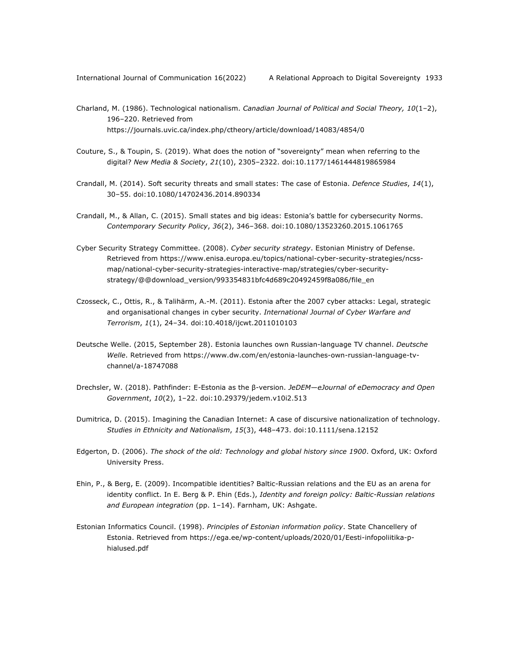- Charland, M. (1986). Technological nationalism. *Canadian Journal of Political and Social Theory, 10*(1–2), 196–220. Retrieved from https://journals.uvic.ca/index.php/ctheory/article/download/14083/4854/0
- Couture, S., & Toupin, S. (2019). What does the notion of "sovereignty" mean when referring to the digital? *New Media & Society*, *21*(10), 2305–2322. doi:10.1177/1461444819865984
- Crandall, M. (2014). Soft security threats and small states: The case of Estonia. *Defence Studies*, *14*(1), 30–55. doi:10.1080/14702436.2014.890334
- Crandall, M., & Allan, C. (2015). Small states and big ideas: Estonia's battle for cybersecurity Norms. *Contemporary Security Policy*, *36*(2), 346–368. doi:10.1080/13523260.2015.1061765
- Cyber Security Strategy Committee. (2008). *Cyber security strategy*. Estonian Ministry of Defense. Retrieved from https://www.enisa.europa.eu/topics/national-cyber-security-strategies/ncssmap/national-cyber-security-strategies-interactive-map/strategies/cyber-securitystrategy/@@download\_version/993354831bfc4d689c20492459f8a086/file\_en
- Czosseck, C., Ottis, R., & Talihärm, A.-M. (2011). Estonia after the 2007 cyber attacks: Legal, strategic and organisational changes in cyber security. *International Journal of Cyber Warfare and Terrorism*, *1*(1), 24–34. doi:10.4018/ijcwt.2011010103
- Deutsche Welle. (2015, September 28). Estonia launches own Russian-language TV channel. *Deutsche Welle*. Retrieved from https://www.dw.com/en/estonia-launches-own-russian-language-tvchannel/a-18747088
- Drechsler, W. (2018). Pathfinder: E-Estonia as the β-version. *JeDEM—eJournal of eDemocracy and Open Government*, *10*(2), 1–22. doi:10.29379/jedem.v10i2.513
- Dumitrica, D. (2015). Imagining the Canadian Internet: A case of discursive nationalization of technology. *Studies in Ethnicity and Nationalism*, *15*(3), 448–473. doi:10.1111/sena.12152
- Edgerton, D. (2006). *The shock of the old: Technology and global history since 1900*. Oxford, UK: Oxford University Press.
- Ehin, P., & Berg, E. (2009). Incompatible identities? Baltic-Russian relations and the EU as an arena for identity conflict. In E. Berg & P. Ehin (Eds.), *Identity and foreign policy: Baltic-Russian relations and European integration* (pp. 1–14). Farnham, UK: Ashgate.
- Estonian Informatics Council. (1998). *Principles of Estonian information policy*. State Chancellery of Estonia. Retrieved from https://ega.ee/wp-content/uploads/2020/01/Eesti-infopoliitika-phialused.pdf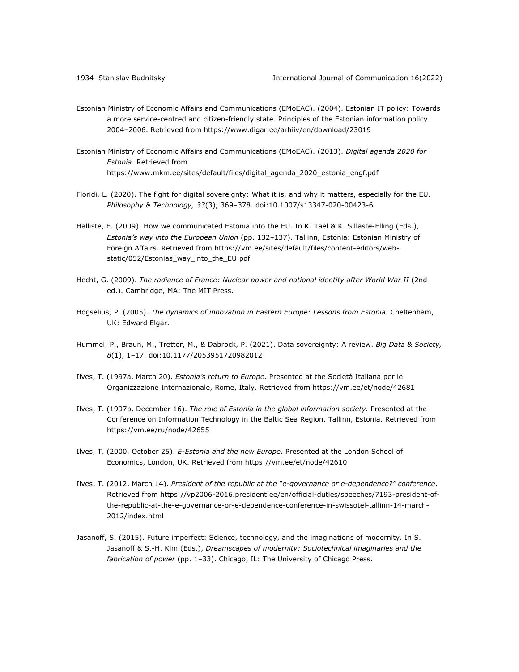- Estonian Ministry of Economic Affairs and Communications (EMoEAC). (2004). Estonian IT policy: Towards a more service-centred and citizen-friendly state. Principles of the Estonian information policy 2004–2006. Retrieved from https://www.digar.ee/arhiiv/en/download/23019
- Estonian Ministry of Economic Affairs and Communications (EMoEAC). (2013). *Digital agenda 2020 for Estonia*. Retrieved from https://www.mkm.ee/sites/default/files/digital\_agenda\_2020\_estonia\_engf.pdf
- Floridi, L. (2020). The fight for digital sovereignty: What it is, and why it matters, especially for the EU. *Philosophy & Technology, 33*(3), 369–378. doi:10.1007/s13347-020-00423-6
- Halliste, E. (2009). How we communicated Estonia into the EU. In K. Tael & K. Sillaste-Elling (Eds.), *Estonia's way into the European Union* (pp. 132–137). Tallinn, Estonia: Estonian Ministry of Foreign Affairs. Retrieved from https://vm.ee/sites/default/files/content-editors/webstatic/052/Estonias\_way\_into\_the\_EU.pdf
- Hecht, G. (2009). *The radiance of France: Nuclear power and national identity after World War II* (2nd ed.). Cambridge, MA: The MIT Press.
- Högselius, P. (2005). *The dynamics of innovation in Eastern Europe: Lessons from Estonia*. Cheltenham, UK: Edward Elgar.
- Hummel, P., Braun, M., Tretter, M., & Dabrock, P. (2021). Data sovereignty: A review. *Big Data & Society, 8*(1), 1–17. doi:10.1177/2053951720982012
- Ilves, T. (1997a, March 20). *Estonia's return to Europe*. Presented at the Società Italiana per le Organizzazione Internazionale, Rome, Italy. Retrieved from https://vm.ee/et/node/42681
- Ilves, T. (1997b, December 16). *The role of Estonia in the global information society*. Presented at the Conference on Information Technology in the Baltic Sea Region, Tallinn, Estonia. Retrieved from https://vm.ee/ru/node/42655
- Ilves, T. (2000, October 25). *E-Estonia and the new Europe*. Presented at the London School of Economics, London, UK. Retrieved from https://vm.ee/et/node/42610
- Ilves, T. (2012, March 14). *President of the republic at the "e-governance or e-dependence?" conference*. Retrieved from https://vp2006-2016.president.ee/en/official-duties/speeches/7193-president-ofthe-republic-at-the-e-governance-or-e-dependence-conference-in-swissotel-tallinn-14-march-2012/index.html
- Jasanoff, S. (2015). Future imperfect: Science, technology, and the imaginations of modernity. In S. Jasanoff & S.-H. Kim (Eds.), *Dreamscapes of modernity: Sociotechnical imaginaries and the fabrication of power* (pp. 1–33). Chicago, IL: The University of Chicago Press.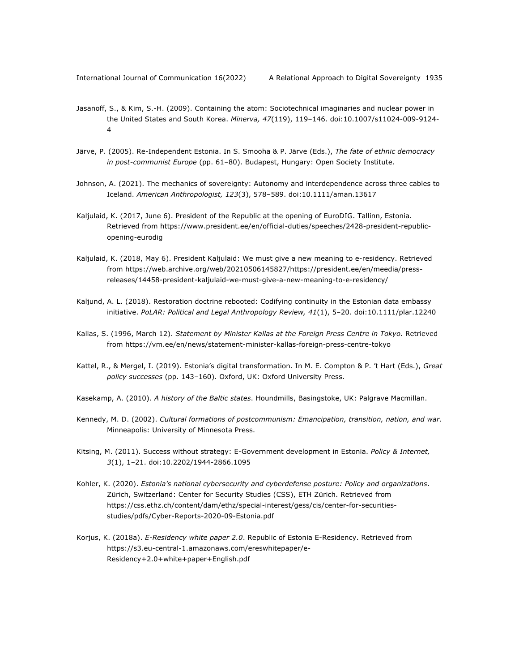- Jasanoff, S., & Kim, S.-H. (2009). Containing the atom: Sociotechnical imaginaries and nuclear power in the United States and South Korea. *Minerva, 47*(119), 119–146. doi:10.1007/s11024-009-9124- 4
- Järve, P. (2005). Re-Independent Estonia. In S. Smooha & P. Järve (Eds.), *The fate of ethnic democracy in post-communist Europe* (pp. 61–80). Budapest, Hungary: Open Society Institute.
- Johnson, A. (2021). The mechanics of sovereignty: Autonomy and interdependence across three cables to Iceland. *American Anthropologist, 123*(3), 578–589. doi:10.1111/aman.13617
- Kaljulaid, K. (2017, June 6). President of the Republic at the opening of EuroDIG. Tallinn, Estonia. Retrieved from https://www.president.ee/en/official-duties/speeches/2428-president-republicopening-eurodig
- Kaljulaid, K. (2018, May 6). President Kaljulaid: We must give a new meaning to e-residency. Retrieved from https://web.archive.org/web/20210506145827/https://president.ee/en/meedia/pressreleases/14458-president-kaljulaid-we-must-give-a-new-meaning-to-e-residency/
- Kaljund, A. L. (2018). Restoration doctrine rebooted: Codifying continuity in the Estonian data embassy initiative. *PoLAR: Political and Legal Anthropology Review, 41*(1), 5–20. doi:10.1111/plar.12240
- Kallas, S. (1996, March 12). *Statement by Minister Kallas at the Foreign Press Centre in Tokyo*. Retrieved from https://vm.ee/en/news/statement-minister-kallas-foreign-press-centre-tokyo
- Kattel, R., & Mergel, I. (2019). Estonia's digital transformation. In M. E. Compton & P. 't Hart (Eds.), *Great policy successes* (pp. 143–160). Oxford, UK: Oxford University Press.
- Kasekamp, A. (2010). *A history of the Baltic states*. Houndmills, Basingstoke, UK: Palgrave Macmillan.
- Kennedy, M. D. (2002). *Cultural formations of postcommunism: Emancipation, transition, nation, and war*. Minneapolis: University of Minnesota Press.
- Kitsing, M. (2011). Success without strategy: E-Government development in Estonia. *Policy & Internet, 3*(1), 1–21. doi:10.2202/1944-2866.1095
- Kohler, K. (2020). *Estonia's national cybersecurity and cyberdefense posture: Policy and organizations*. Zürich, Switzerland: Center for Security Studies (CSS), ETH Zürich. Retrieved from https://css.ethz.ch/content/dam/ethz/special-interest/gess/cis/center-for-securitiesstudies/pdfs/Cyber-Reports-2020-09-Estonia.pdf
- Korjus, K. (2018a). *E-Residency white paper 2.0*. Republic of Estonia E-Residency. Retrieved from https://s3.eu-central-1.amazonaws.com/ereswhitepaper/e-Residency+2.0+white+paper+English.pdf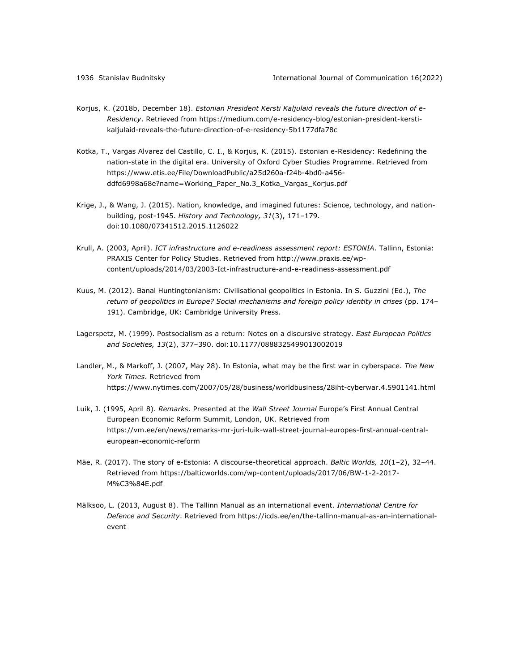- Korjus, K. (2018b, December 18). *Estonian President Kersti Kaljulaid reveals the future direction of e-Residency*. Retrieved from https://medium.com/e-residency-blog/estonian-president-kerstikaljulaid-reveals-the-future-direction-of-e-residency-5b1177dfa78c
- Kotka, T., Vargas Alvarez del Castillo, C. I., & Korjus, K. (2015). Estonian e-Residency: Redefining the nation-state in the digital era. University of Oxford Cyber Studies Programme. Retrieved from https://www.etis.ee/File/DownloadPublic/a25d260a-f24b-4bd0-a456 ddfd6998a68e?name=Working\_Paper\_No.3\_Kotka\_Vargas\_Korjus.pdf
- Krige, J., & Wang, J. (2015). Nation, knowledge, and imagined futures: Science, technology, and nationbuilding, post-1945. *History and Technology, 31*(3), 171–179. doi:10.1080/07341512.2015.1126022
- Krull, A. (2003, April). *ICT infrastructure and e-readiness assessment report: ESTONIA*. Tallinn, Estonia: PRAXIS Center for Policy Studies. Retrieved from http://www.praxis.ee/wpcontent/uploads/2014/03/2003-Ict-infrastructure-and-e-readiness-assessment.pdf
- Kuus, M. (2012). Banal Huntingtonianism: Civilisational geopolitics in Estonia. In S. Guzzini (Ed.), *The return of geopolitics in Europe? Social mechanisms and foreign policy identity in crises* (pp. 174– 191). Cambridge, UK: Cambridge University Press.
- Lagerspetz, M. (1999). Postsocialism as a return: Notes on a discursive strategy. *East European Politics and Societies, 13*(2), 377–390. doi:10.1177/0888325499013002019
- Landler, M., & Markoff, J. (2007, May 28). In Estonia, what may be the first war in cyberspace. *The New York Times*. Retrieved from https://www.nytimes.com/2007/05/28/business/worldbusiness/28iht-cyberwar.4.5901141.html
- Luik, J. (1995, April 8). *Remarks*. Presented at the *Wall Street Journal* Europe's First Annual Central European Economic Reform Summit, London, UK. Retrieved from https://vm.ee/en/news/remarks-mr-juri-luik-wall-street-journal-europes-first-annual-centraleuropean-economic-reform
- Mäe, R. (2017). The story of e-Estonia: A discourse-theoretical approach. *Baltic Worlds, 10*(1–2), 32–44. Retrieved from https://balticworlds.com/wp-content/uploads/2017/06/BW-1-2-2017- M%C3%84E.pdf
- Mälksoo, L. (2013, August 8). The Tallinn Manual as an international event. *International Centre for Defence and Security*. Retrieved from https://icds.ee/en/the-tallinn-manual-as-an-internationalevent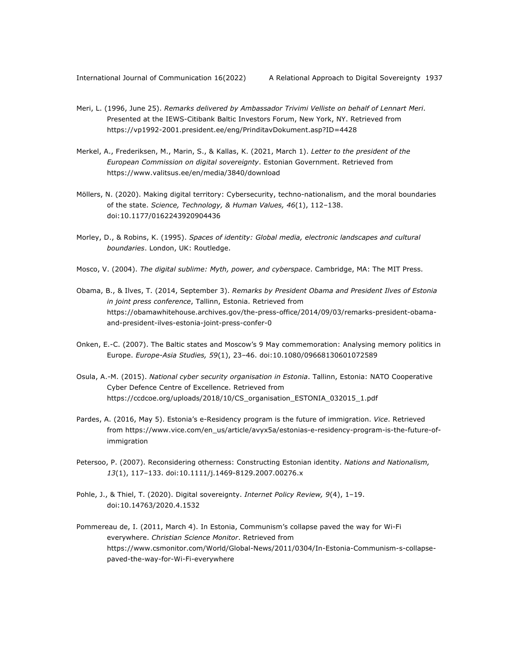- Meri, L. (1996, June 25). *Remarks delivered by Ambassador Trivimi Velliste on behalf of Lennart Meri*. Presented at the IEWS-Citibank Baltic Investors Forum, New York, NY. Retrieved from https://vp1992-2001.president.ee/eng/PrinditavDokument.asp?ID=4428
- Merkel, A., Frederiksen, M., Marin, S., & Kallas, K. (2021, March 1). *Letter to the president of the European Commission on digital sovereignty*. Estonian Government. Retrieved from https://www.valitsus.ee/en/media/3840/download
- Möllers, N. (2020). Making digital territory: Cybersecurity, techno-nationalism, and the moral boundaries of the state. *Science, Technology, & Human Values, 46*(1), 112–138. doi:10.1177/0162243920904436
- Morley, D., & Robins, K. (1995). *Spaces of identity: Global media, electronic landscapes and cultural boundaries*. London, UK: Routledge.
- Mosco, V. (2004). *The digital sublime: Myth, power, and cyberspace*. Cambridge, MA: The MIT Press.
- Obama, B., & Ilves, T. (2014, September 3). *Remarks by President Obama and President Ilves of Estonia in joint press conference*, Tallinn, Estonia. Retrieved from https://obamawhitehouse.archives.gov/the-press-office/2014/09/03/remarks-president-obamaand-president-ilves-estonia-joint-press-confer-0
- Onken, E.-C. (2007). The Baltic states and Moscow's 9 May commemoration: Analysing memory politics in Europe. *Europe-Asia Studies, 59*(1), 23–46. doi:10.1080/09668130601072589
- Osula, A.-M. (2015). *National cyber security organisation in Estonia*. Tallinn, Estonia: NATO Cooperative Cyber Defence Centre of Excellence. Retrieved from https://ccdcoe.org/uploads/2018/10/CS\_organisation\_ESTONIA\_032015\_1.pdf
- Pardes, A. (2016, May 5). Estonia's e-Residency program is the future of immigration. *Vice*. Retrieved from https://www.vice.com/en\_us/article/avyx5a/estonias-e-residency-program-is-the-future-ofimmigration
- Petersoo, P. (2007). Reconsidering otherness: Constructing Estonian identity. *Nations and Nationalism, 13*(1), 117–133. doi:10.1111/j.1469-8129.2007.00276.x
- Pohle, J., & Thiel, T. (2020). Digital sovereignty. *Internet Policy Review, 9*(4), 1–19. doi:10.14763/2020.4.1532
- Pommereau de, I. (2011, March 4). In Estonia, Communism's collapse paved the way for Wi-Fi everywhere. *Christian Science Monitor*. Retrieved from https://www.csmonitor.com/World/Global-News/2011/0304/In-Estonia-Communism-s-collapsepaved-the-way-for-Wi-Fi-everywhere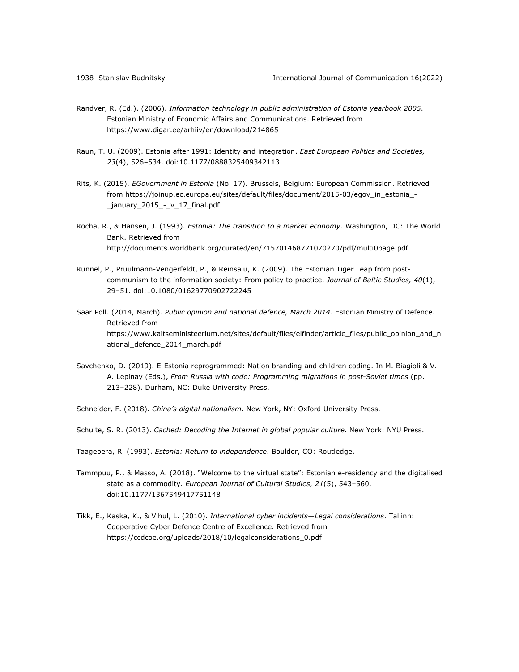- Randver, R. (Ed.). (2006). *Information technology in public administration of Estonia yearbook 2005*. Estonian Ministry of Economic Affairs and Communications. Retrieved from https://www.digar.ee/arhiiv/en/download/214865
- Raun, T. U. (2009). Estonia after 1991: Identity and integration. *East European Politics and Societies, 23*(4), 526–534. doi:10.1177/0888325409342113
- Rits, K. (2015). *EGovernment in Estonia* (No. 17). Brussels, Belgium: European Commission. Retrieved from https://joinup.ec.europa.eu/sites/default/files/document/2015-03/egov\_in\_estonia\_- \_january\_2015\_-\_v\_17\_final.pdf
- Rocha, R., & Hansen, J. (1993). *Estonia: The transition to a market economy*. Washington, DC: The World Bank. Retrieved from http://documents.worldbank.org/curated/en/715701468771070270/pdf/multi0page.pdf
- Runnel, P., Pruulmann-Vengerfeldt, P., & Reinsalu, K. (2009). The Estonian Tiger Leap from postcommunism to the information society: From policy to practice. *Journal of Baltic Studies, 40*(1), 29–51. doi:10.1080/01629770902722245
- Saar Poll. (2014, March). *Public opinion and national defence, March 2014*. Estonian Ministry of Defence. Retrieved from https://www.kaitseministeerium.net/sites/default/files/elfinder/article\_files/public\_opinion\_and\_n ational\_defence\_2014\_march.pdf
- Savchenko, D. (2019). E-Estonia reprogrammed: Nation branding and children coding. In M. Biagioli & V. A. Lepinay (Eds.), *From Russia with code: Programming migrations in post-Soviet times* (pp. 213–228). Durham, NC: Duke University Press.
- Schneider, F. (2018). *China's digital nationalism*. New York, NY: Oxford University Press.
- Schulte, S. R. (2013). *Cached: Decoding the Internet in global popular culture*. New York: NYU Press.
- Taagepera, R. (1993). *Estonia: Return to independence*. Boulder, CO: Routledge.
- Tammpuu, P., & Masso, A. (2018). "Welcome to the virtual state": Estonian e-residency and the digitalised state as a commodity. *European Journal of Cultural Studies, 21*(5), 543–560. doi:10.1177/1367549417751148
- Tikk, E., Kaska, K., & Vihul, L. (2010). *International cyber incidents—Legal considerations*. Tallinn: Cooperative Cyber Defence Centre of Excellence. Retrieved from https://ccdcoe.org/uploads/2018/10/legalconsiderations\_0.pdf